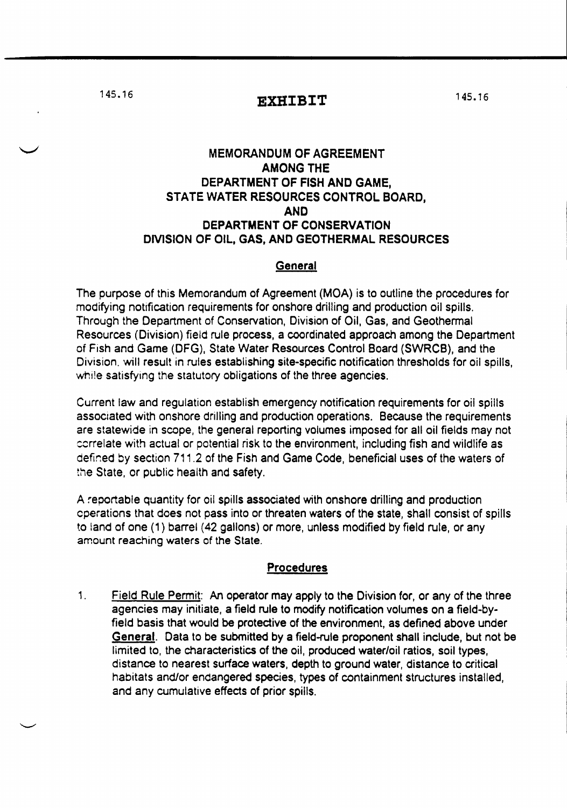145.16 **EXHIBIT** 

## MEMORANDUM OF AGREEMENT AMONG THE DEPARTMENT OF FISH AND GAME, STATE WATER RESOURCES CONTROL BOARD, AND DEPARTMENT OF CONSERVATION DMSION OF OIL, GAS, AND GEOTHERMAL RESOURCES

## General

The purpose of this Memorandum of Agreement (MOA) is to outline the procedures for modifying notification requirements for onshore drilling and production oil spills. Through the Department of Conservation, Division of Oil, Gas, and Geothermal Resources (Division) field rule process, a coordinated approach among the Department of Fish and Game (DFG), State Water Resources Control Board (SWRCB), and the Division. will result in rules establishing site-specific notification thresholds for oil spills, while satisfying the statutory obligations of the three agencies.

Current law and regulation establish emergency notification requirements for oil spills associated with onshore drilling and production operations. Because the requirements are statewide in scope, the general reporting volumes imposed for all oil fields may not cerrelate with actual or potential risk to the environment, including fish and wildlife as defined by section 711.2 of the Fish and Game Code, beneficial uses of the waters of the State. or public health and safety.

A reportable quantity for oil spills associated with onshore drilling and production cperations that does not pass into or threaten waters of the state, shall consist of spills to land of one (1) barrel (42 gallons) or more, unless modified by field rule, or any amount reaching waters of the State.

## Procedures

1. Field Rule Permit: An operator may apply to the Division for, or any of the three agencies may initiate, a field rule to modify notification volumes on a field-byfield basis that would be protective of the environment, as defined above under General. Data to be submitted by a field-rule proponent shall include, but not be limited to. the characteristics of the oil, produced water/oil ratios, soil types, distance to nearest surface waters, depth to ground water, distance to critical habitats and/or endangered species, types of containment structures installed, and any cumulative effects of prior spills.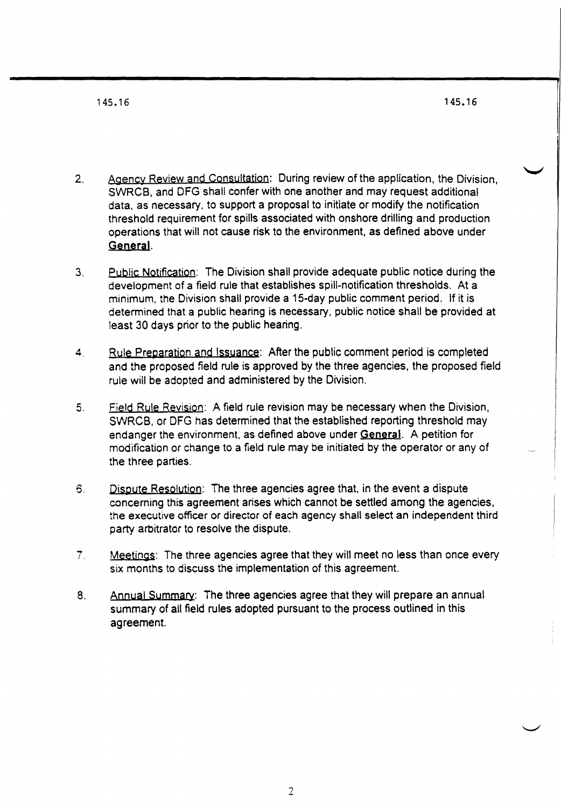- 2. Agency Review and Consultation: During review of the application, the Division, SWRCB, and DFG shall confer with one another and may request additional data. as necessary. to support a proposal to initiate or modify the notification threshold requirement for spills associated with onshore drilling and production operations that will not cause risk to the environment, as defined above under General.
- 3. Public Notification: The Division shall provide adequate public notice during the development of a field rule that establishes spill-notification thresholds. At a minimum. the Division shall provide a 15-day public comment period. If it is determined that a public hearing is necessary. public notice shall be provided at least 30 days prior to the public hearing.
- 4. Rule Preparation and Issuance: After the public comment period is completed and the proposed field rule is approved by the three agencies, the proposed field rule will be adopted and administered by the Division.
- 5. Field Rule Revision: A field rule revision may be necessary when the Division, SWRCB. or DFG has determined that the established reporting threshold may endanger the environment, as defined above under General. A petition for modification or change to a field rule may be initiated by the operator or any of the three parties.
- 6. Dispute Resolution: The three agencies agree that. in the event a dispute concerning this agreement arises which cannot be settled among the agencies, the executive officer or director of each agency shall select an independent third party arbitrator to resolve the dispute.
- 7. Meetings: The three agencies agree that they will meet no less than once every six months to discuss the implementation of this agreement.
- 8. Annual Summary: The three agencies agree that they will prepare an annual summary of all field rules adopted pursuant to the process outlined in this agreement.